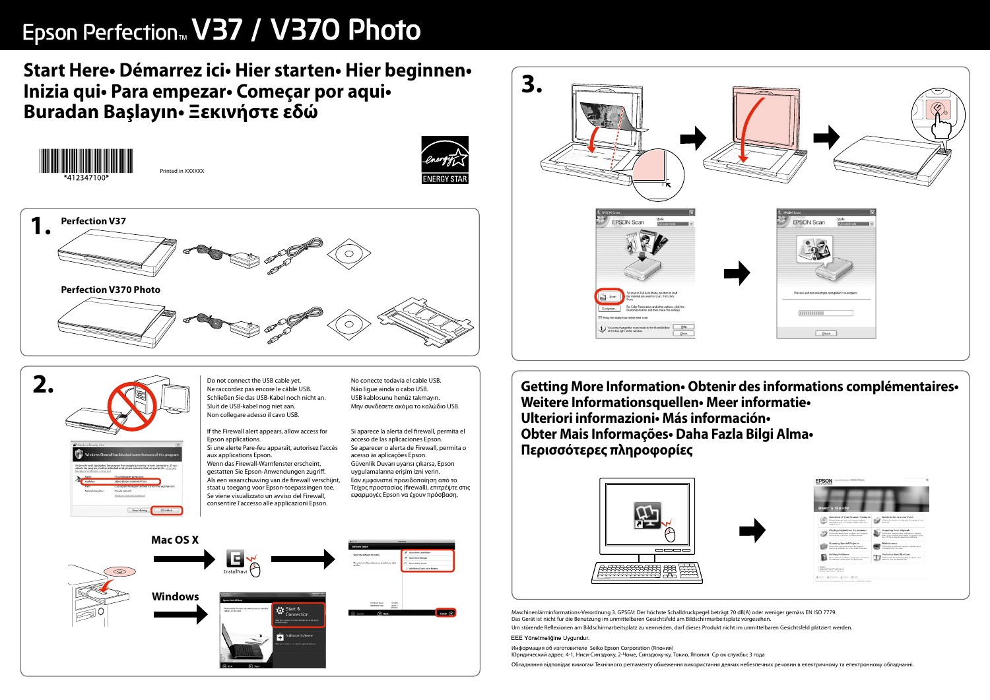## Epson Perfection<sup>™</sup> V37 / V370 Photo

## Start Here • Démarrez ici • Hier starten • Hier beginnen • Inizia qui · Para empezar · Começar por aqui · Buradan Başlayın - Ξεκινήστε εδώ











Do not connect the USB cable yet. Ne raccordez pas encore le câble USB Schließen Sie das USB-Kabel noch nicht an. Sluit de USB-kabel nog niet aan. Non collegare adesso il cavo USB.

If the Firewall alert appears, allow access for Epson applications. Si une alerte Pare-feu apparaît, autorisez l'accès aux applications Epson. Wenn das Firewall-Warnfenster erscheint,

gestatten Sie Epson-Anwendungen zugriff. Als een waarschuwing van de firewall verschijnt, staat u toegang voor Epson-toepassingen toe. Se viene visualizzato un avviso del Firewall, consentire l'accesso alle applicazioni Epson.

No conecte todavía el cable USB. Não lique ainda o cabo USB. USB kablosunu henüz takmayın. Μην συνδέσετε ακόμα το καλώδιο USB.

Si aparece la alerta del firewall, permita el acceso de las aplicaciones Epson. Se aparecer o alerta de Firewall, permita o acesso às aplicações Epson. Güvenlik Duvarı uyarısı çıkarsa, Epson uygulamalarına erişim izni verin. Εάν εμφανιστεί προειδοποίηση από το Τείχος προστασίας (firewall), επιτρέψτε στις εφαρμογές Epson να έχουν πρόσβαση.





Getting More Information · Obtenir des informations complémentaires · Weitere Informationsquellen • Meer informatie • Ulteriori informazioni Más información · Obter Mais Informações · Daha Fazla Bilgi Alma · Περισσότερες πληροφορίες



Maschinenlärminformations-Verordnung 3. GPSGV: Der höchste Schalldruckpegel beträgt 70 dB(A) oder weniger gemäss EN ISO 7779. Das Gerät ist nicht fur die Benutzung im unmittelbaren Gesichtsfeld am Bildschirmarbeitsplatz vorgesehen Um störende Reflexionen am Bildschirmarbeitsplatz zu vermeiden, darf dieses Produkt nicht im unmittelbaren Gesichtsfeld platziert werden EEE Yönetmeliğine Uygundur.

Информация об изготовителе Seiko Epson Corporation (Япония)

Юридический адрес: 4-1, Ниси-Синздюку, 2-Чоме, Синздюку-ку, Токио, Япония Ср ок службы: 3 года

|                                                                                              | J |
|----------------------------------------------------------------------------------------------|---|
| <b>C</b> EPSON Scan<br>$\overline{\mathbf{x}}$<br>Mode:<br>EPSON Scan<br>Full Auto Mode<br>× |   |
| Preview and document type recognition is in progress.<br><b>HIIIIIIIII</b><br>Pause          |   |





Обладнання відповідає вимогам Технічного регламенту обмеження використання деяких небезпечних речовин в електричному та електронному обладнанні.